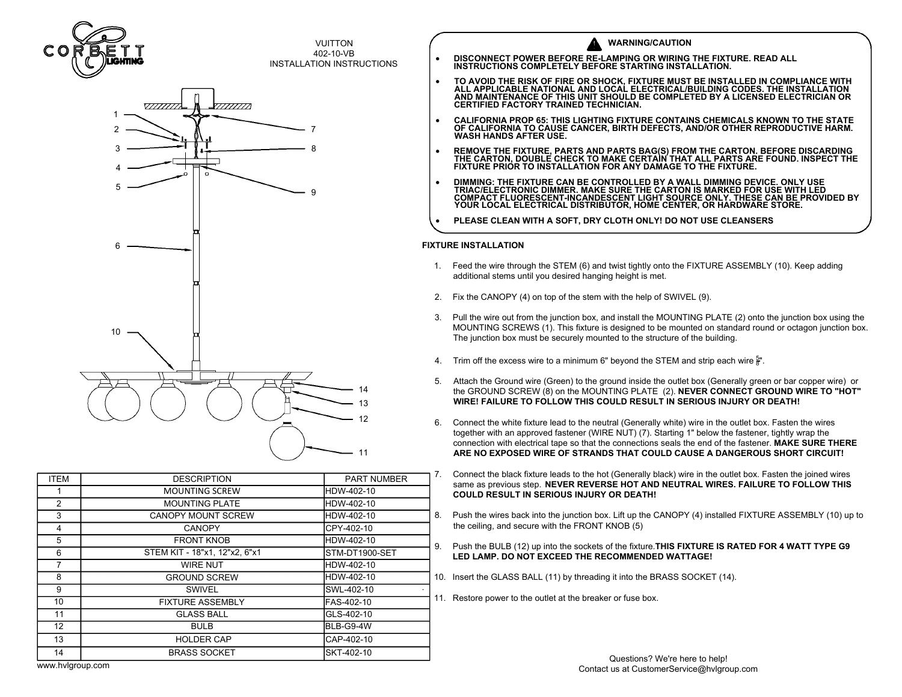



**VUITTON** 

VUITTON<br>402-10-VB VUITTON<br>202-10-VB<br>INSTALLATION INSTRUCTIONS

|             |                               |                    |    | Generally white in the oriental (Generally white) wire in the o<br>together with an approved fastener (WIRE NUT) (7). Starting 1" below the<br>connection with electrical tape so that the connections seals the end of the<br>ARE NO EXPOSED WIRE OF STRANDS THAT COULD CAUSE A DAN |
|-------------|-------------------------------|--------------------|----|--------------------------------------------------------------------------------------------------------------------------------------------------------------------------------------------------------------------------------------------------------------------------------------|
| <b>ITEM</b> | <b>DESCRIPTION</b>            | <b>PART NUMBER</b> |    | Connect the black fixture leads to the hot (Generally black) wire in the outlet                                                                                                                                                                                                      |
|             | <b>MOUNTING SCREW</b>         | HDW-402-10         |    | same as previous step. NEVER REVERSE HOT AND NEUTRAL WIRES.<br><b>COULD RESULT IN SERIOUS INJURY OR DEATH!</b>                                                                                                                                                                       |
| 2           | <b>MOUNTING PLATE</b>         | HDW-402-10         |    |                                                                                                                                                                                                                                                                                      |
| 3           | <b>CANOPY MOUNT SCREW</b>     | HDW-402-10         | 8. | Push the wires back into the junction box. Lift up the CANOPY (4) installed                                                                                                                                                                                                          |
| 4           | <b>CANOPY</b>                 | CPY-402-10         |    | the ceiling, and secure with the FRONT KNOB (5)                                                                                                                                                                                                                                      |
| 5           | <b>FRONT KNOB</b>             | HDW-402-10         | 9. | Push the BULB (12) up into the sockets of the fixture. THIS FIXTURE IS R.<br>LED LAMP. DO NOT EXCEED THE RECOMMENDED WATTAGE!                                                                                                                                                        |
| 6           | STEM KIT - 18"x1, 12"x2, 6"x1 | STM-DT1900-SET     |    |                                                                                                                                                                                                                                                                                      |
|             | <b>WIRE NUT</b>               | HDW-402-10         |    |                                                                                                                                                                                                                                                                                      |
| 8           | <b>GROUND SCREW</b>           | HDW-402-10         |    | 10. Insert the GLASS BALL (11) by threading it into the BRASS SOCKET (14)                                                                                                                                                                                                            |
| 9           | <b>SWIVEL</b>                 | SWL-402-10         |    |                                                                                                                                                                                                                                                                                      |
| 10          | <b>FIXTURE ASSEMBLY</b>       | FAS-402-10         |    | 11. Restore power to the outlet at the breaker or fuse box.                                                                                                                                                                                                                          |
| 11          | <b>GLASS BALL</b>             | GLS-402-10         |    |                                                                                                                                                                                                                                                                                      |
| 12          | <b>BULB</b>                   | BLB-G9-4W          |    |                                                                                                                                                                                                                                                                                      |
| 13          | <b>HOLDER CAP</b>             | CAP-402-10         |    |                                                                                                                                                                                                                                                                                      |
| 14          | <b>BRASS SOCKET</b>           | SKT-402-10         |    |                                                                                                                                                                                                                                                                                      |
| .           |                               |                    |    | Questions? We're here to help!                                                                                                                                                                                                                                                       |

| COR         | <b>LIGHTING</b>    | <b>VUITTON</b><br>402-10-VB<br><b>INSTALLATION INSTRUCTIONS</b> | $\bullet$              | <b>WARNING/CAUTION</b><br>DISCONNECT POWER BEFORE RE-LAMPING OR WIRING THE FIXTURE. READ ALL INSTRUCTIONS COMPLETELY BEFORE STARTING INSTALLATION.                                                                                                                                                                                                                                                                                                                                                                                                                                                                                                                                                                                                                                                                                                                                                                                                                                                                                                                                                                                                                                                                                                                                                                                                                          |
|-------------|--------------------|-----------------------------------------------------------------|------------------------|-----------------------------------------------------------------------------------------------------------------------------------------------------------------------------------------------------------------------------------------------------------------------------------------------------------------------------------------------------------------------------------------------------------------------------------------------------------------------------------------------------------------------------------------------------------------------------------------------------------------------------------------------------------------------------------------------------------------------------------------------------------------------------------------------------------------------------------------------------------------------------------------------------------------------------------------------------------------------------------------------------------------------------------------------------------------------------------------------------------------------------------------------------------------------------------------------------------------------------------------------------------------------------------------------------------------------------------------------------------------------------|
|             | 77777777<br>V///// |                                                                 | $\bullet$<br>$\bullet$ | TO AVOID THE RISK OF FIRE OR SHOCK, FIXTURE MUST BE INSTALLED IN COMPLIANCE WITH ALL APPLICABLE NATIONAL AND LOCAL ELECTRICAL/BUILDING CODES. THE INSTALLATION<br>AND MAINTENANCE OF THIS UNIT SHOULD BE COMPLETED BY A LICENSED ELECTRICIAN OR<br><b>CERTIFIED FACTORY TRAINED TECHNICIAN.</b><br>CALIFORNIA PROP 65: THIS LIGHTING FIXTURE CONTAINS CHEMICALS KNOWN TO THE STATE<br>OF CALIFORNIA TO CAUSE CANCER, BIRTH DEFECTS, AND/OR OTHER REPRODUCTIVE HARM.<br><b>WASH HANDS AFTER USE.</b><br>REMOVE THE FIXTURE, PARTS AND PARTS BAG(S) FROM THE CARTON. BEFORE DISCARDING<br>THE CARTON, DOUBLE CHECK TO MAKE CERTAIN THAT ALL PARTS ARE FOUND. INSPECT THE<br>FIXTURE PRIOR TO INSTALLATION FOR ANY DAMAGE TO THE FIXTURE.<br>DIMMING: THE FIXTURE CAN BE CONTROLLED BY A WALL DIMMING DEVICE. ONLY USE<br>TRIAC/ELECTRONIC DIMMER. MAKE SURE THE CARTON IS MARKED FOR USE WITH LED<br>COMPACT FLUORESCENT-INCANDESCENT LIGHT SOURCE ONLY. THESE CAN BE PROVIDED BY<br>YOUR LOCAL ELECTRICAL DISTRIBUTOR, HOME CENTER, OR HARDWARE STORE.<br>PLEASE CLEAN WITH A SOFT, DRY CLOTH ONLY! DO NOT USE CLEANSERS                                                                                                                                                                                                                                                     |
|             | 10                 | 11                                                              | 4.<br>5.<br>6.         | <b>FIXTURE INSTALLATION</b><br>1. Feed the wire through the STEM (6) and twist tightly onto the FIXTURE ASSEMBLY (10). Keep adding<br>additional stems until you desired hanging height is met.<br>2. Fix the CANOPY (4) on top of the stem with the help of SWIVEL (9).<br>3. Pull the wire out from the junction box, and install the MOUNTING PLATE (2) onto the junction box using the<br>MOUNTING SCREWS (1). This fixture is designed to be mounted on standard round or octagon junction box<br>The junction box must be securely mounted to the structure of the building.<br>Trim off the excess wire to a minimum 6" beyond the STEM and strip each wire $\frac{5}{8}$ ".<br>Attach the Ground wire (Green) to the ground inside the outlet box (Generally green or bar copper wire) or<br>the GROUND SCREW (8) on the MOUNTING PLATE (2). NEVER CONNECT GROUND WIRE TO "HOT"<br>WIRE! FAILURE TO FOLLOW THIS COULD RESULT IN SERIOUS INJURY OR DEATH!<br>Connect the white fixture lead to the neutral (Generally white) wire in the outlet box. Fasten the wires<br>together with an approved fastener (WIRE NUT) (7). Starting 1" below the fastener, tightly wrap the<br>connection with electrical tape so that the connections seals the end of the fastener. MAKE SURE THERE<br>ARE NO EXPOSED WIRE OF STRANDS THAT COULD CAUSE A DANGEROUS SHORT CIRCUIT! |
| <b>ITEM</b> | <b>DESCRIPTION</b> | PART NUMBER                                                     |                        | Connect the black fixture leads to the hot (Generally black) wire in the outlet box. Fasten the joined wires<br>same as previous step. NEVER REVERSE HOT AND NEUTRAL WIRES. FAILURE TO FOLLOW THIS                                                                                                                                                                                                                                                                                                                                                                                                                                                                                                                                                                                                                                                                                                                                                                                                                                                                                                                                                                                                                                                                                                                                                                          |

- 
- 
- 
- 
- Fix the CROUND scream that Stream the Help of SWIVEL (9). Neep additional stems until you desired hanging height is met.<br>Fix the CANOPY (4) on top of the stem with the help of SWIVEL (9).<br>Pull the wire out from the junctio Pull the wire out from the junction box, and install the<br>MOUNTING SCREWS (1). This fixture is designed to<br>The junction box must be securely mounted to the str<br>Trim off the excess wire to a minimum 6" beyond the<br>Attach the Trim off the excess wire to a minimum 6" beyond that<br>Trim off the excess wire to a minimum 6" beyond that<br>ach the GROUND SCREW (8) on the MOUNTING PL<br>**WIRE! FAILURE TO FOLLOW THIS COULD RE**:<br>Connect the white fixture lead Attach the Ground wire (Green) to the ground inside the outlet box (the GROUND SCREW (8) on the MOUNTING PLATE (2). **NEVER (WIRE! FAILURE TO FOLLOW THIS COULD RESULT IN SERIOU:**<br>Connect the white fixture lead to the neutra
- 
- 
- 
- 
-